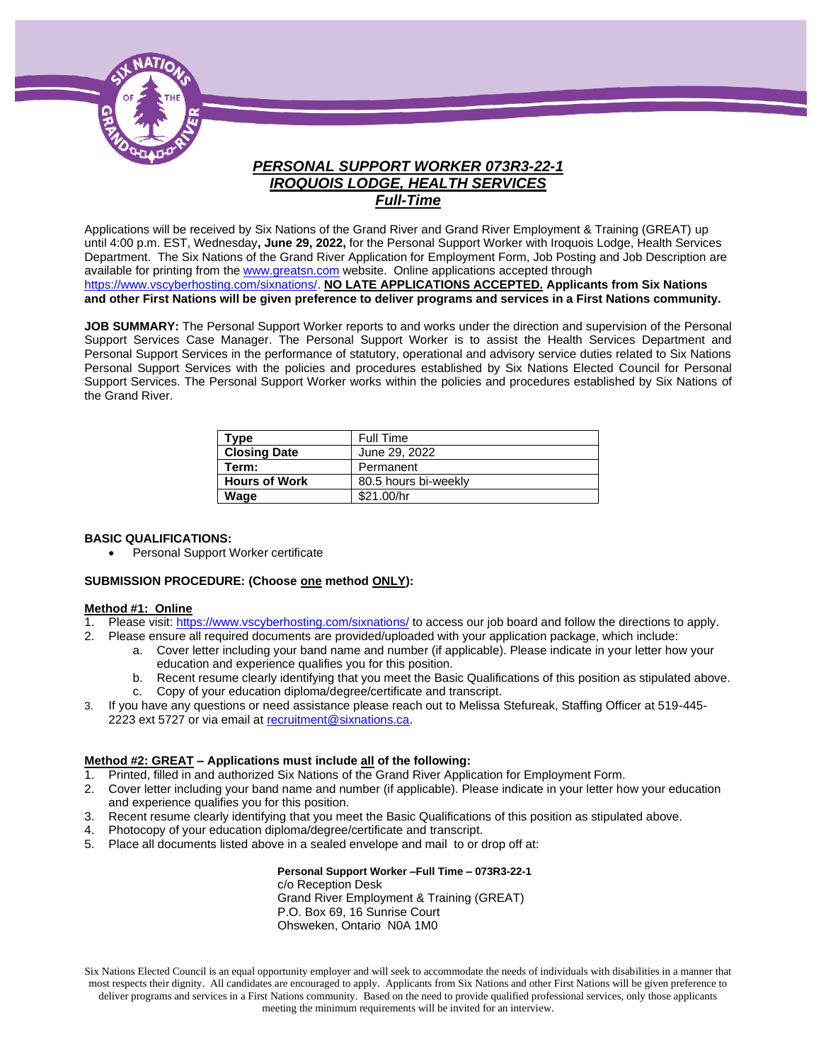

# *PERSONAL SUPPORT WORKER 073R3-22-1 IROQUOIS LODGE, HEALTH SERVICES Full-Time*

Applications will be received by Six Nations of the Grand River and Grand River Employment & Training (GREAT) up until 4:00 p.m. EST, Wednesday**, June 29, 2022,** for the Personal Support Worker with Iroquois Lodge, Health Services Department. The Six Nations of the Grand River Application for Employment Form, Job Posting and Job Description are available for printing from th[e www.greatsn.com](http://www.greatsn.com/) website. Online applications accepted through [https://www.vscyberhosting.com/sixnations/.](https://www.vscyberhosting.com/sixnations/) **NO LATE APPLICATIONS ACCEPTED. Applicants from Six Nations and other First Nations will be given preference to deliver programs and services in a First Nations community.**

**JOB SUMMARY:** The Personal Support Worker reports to and works under the direction and supervision of the Personal Support Services Case Manager. The Personal Support Worker is to assist the Health Services Department and Personal Support Services in the performance of statutory, operational and advisory service duties related to Six Nations Personal Support Services with the policies and procedures established by Six Nations Elected Council for Personal Support Services. The Personal Support Worker works within the policies and procedures established by Six Nations of the Grand River.

| Type                 | Full Time            |
|----------------------|----------------------|
| <b>Closing Date</b>  | June 29, 2022        |
| Term:                | Permanent            |
| <b>Hours of Work</b> | 80.5 hours bi-weekly |
| Wage                 | \$21.00/hr           |

#### **BASIC QUALIFICATIONS:**

• Personal Support Worker certificate

#### **SUBMISSION PROCEDURE: (Choose one method ONLY):**

#### **Method #1: Online**

- 1. Please visit[: https://www.vscyberhosting.com/sixnations/](https://www.vscyberhosting.com/sixnations/) to access our job board and follow the directions to apply.
- 2. Please ensure all required documents are provided/uploaded with your application package, which include:
	- a. Cover letter including your band name and number (if applicable). Please indicate in your letter how your education and experience qualifies you for this position.
	- b. Recent resume clearly identifying that you meet the Basic Qualifications of this position as stipulated above. c. Copy of your education diploma/degree/certificate and transcript.
- 3. If you have any questions or need assistance please reach out to Melissa Stefureak, Staffing Officer at 519-445 2223 ext 5727 or via email at [recruitment@sixnations.ca.](mailto:recruitment@sixnations.ca)

#### **Method #2: GREAT – Applications must include all of the following:**

- 1. Printed, filled in and authorized Six Nations of the Grand River Application for Employment Form.
- 2. Cover letter including your band name and number (if applicable). Please indicate in your letter how your education and experience qualifies you for this position.
- 3. Recent resume clearly identifying that you meet the Basic Qualifications of this position as stipulated above.
- 4. Photocopy of your education diploma/degree/certificate and transcript.
- 5. Place all documents listed above in a sealed envelope and mail to or drop off at:

**Personal Support Worker –Full Time – 073R3-22-1** c/o Reception Desk Grand River Employment & Training (GREAT) P.O. Box 69, 16 Sunrise Court Ohsweken, Ontario N0A 1M0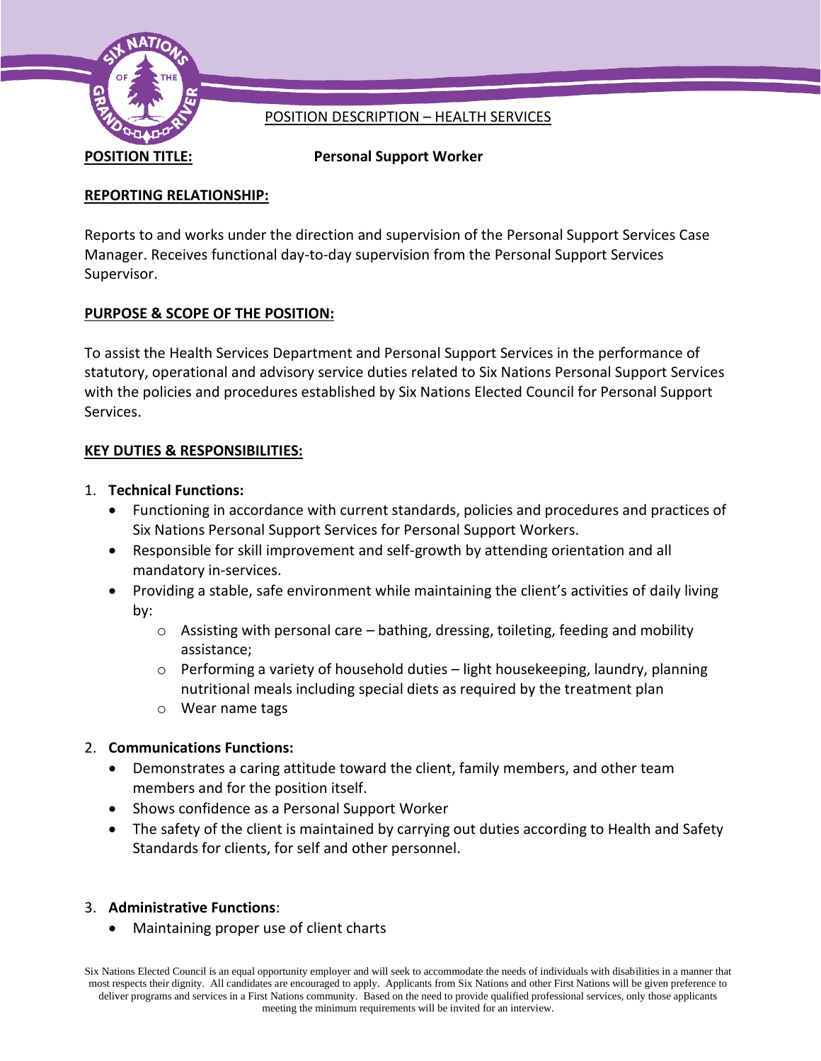

# POSITION DESCRIPTION – HEALTH SERVICES

**POSITION TITLE: Personal Support Worker**

# **REPORTING RELATIONSHIP:**

Reports to and works under the direction and supervision of the Personal Support Services Case Manager. Receives functional day-to-day supervision from the Personal Support Services Supervisor.

# **PURPOSE & SCOPE OF THE POSITION:**

To assist the Health Services Department and Personal Support Services in the performance of statutory, operational and advisory service duties related to Six Nations Personal Support Services with the policies and procedures established by Six Nations Elected Council for Personal Support Services.

# **KEY DUTIES & RESPONSIBILITIES:**

- 1. **Technical Functions:**
	- Functioning in accordance with current standards, policies and procedures and practices of Six Nations Personal Support Services for Personal Support Workers.
	- Responsible for skill improvement and self-growth by attending orientation and all mandatory in-services.
	- Providing a stable, safe environment while maintaining the client's activities of daily living by:
		- $\circ$  Assisting with personal care bathing, dressing, toileting, feeding and mobility assistance;
		- $\circ$  Performing a variety of household duties light housekeeping, laundry, planning nutritional meals including special diets as required by the treatment plan
		- o Wear name tags

# 2. **Communications Functions:**

- Demonstrates a caring attitude toward the client, family members, and other team members and for the position itself.
- Shows confidence as a Personal Support Worker
- The safety of the client is maintained by carrying out duties according to Health and Safety Standards for clients, for self and other personnel.

### 3. **Administrative Functions**:

• Maintaining proper use of client charts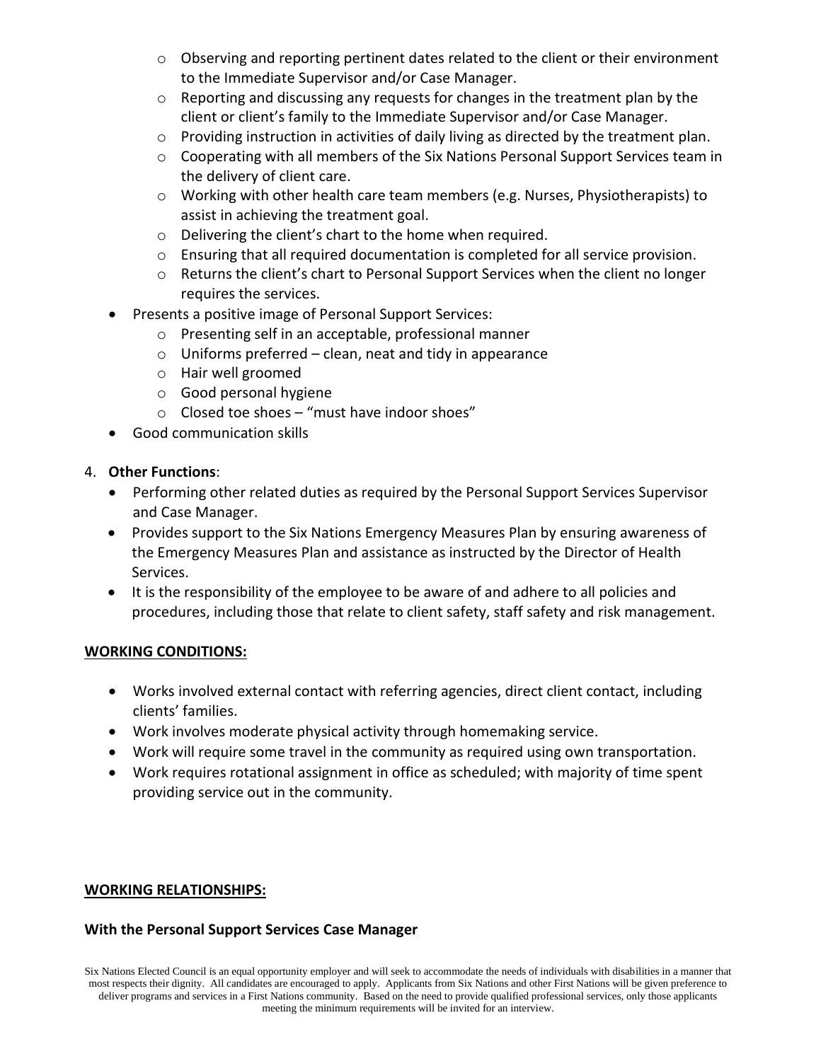- o Observing and reporting pertinent dates related to the client or their environment to the Immediate Supervisor and/or Case Manager.
- $\circ$  Reporting and discussing any requests for changes in the treatment plan by the client or client's family to the Immediate Supervisor and/or Case Manager.
- $\circ$  Providing instruction in activities of daily living as directed by the treatment plan.
- o Cooperating with all members of the Six Nations Personal Support Services team in the delivery of client care.
- o Working with other health care team members (e.g. Nurses, Physiotherapists) to assist in achieving the treatment goal.
- o Delivering the client's chart to the home when required.
- o Ensuring that all required documentation is completed for all service provision.
- $\circ$  Returns the client's chart to Personal Support Services when the client no longer requires the services.
- Presents a positive image of Personal Support Services:
	- o Presenting self in an acceptable, professional manner
	- $\circ$  Uniforms preferred clean, neat and tidy in appearance
	- o Hair well groomed
	- o Good personal hygiene
	- o Closed toe shoes "must have indoor shoes"
- Good communication skills

### 4. **Other Functions**:

- Performing other related duties as required by the Personal Support Services Supervisor and Case Manager.
- Provides support to the Six Nations Emergency Measures Plan by ensuring awareness of the Emergency Measures Plan and assistance as instructed by the Director of Health Services.
- It is the responsibility of the employee to be aware of and adhere to all policies and procedures, including those that relate to client safety, staff safety and risk management.

### **WORKING CONDITIONS:**

- Works involved external contact with referring agencies, direct client contact, including clients' families.
- Work involves moderate physical activity through homemaking service.
- Work will require some travel in the community as required using own transportation.
- Work requires rotational assignment in office as scheduled; with majority of time spent providing service out in the community.

### **WORKING RELATIONSHIPS:**

### **With the Personal Support Services Case Manager**